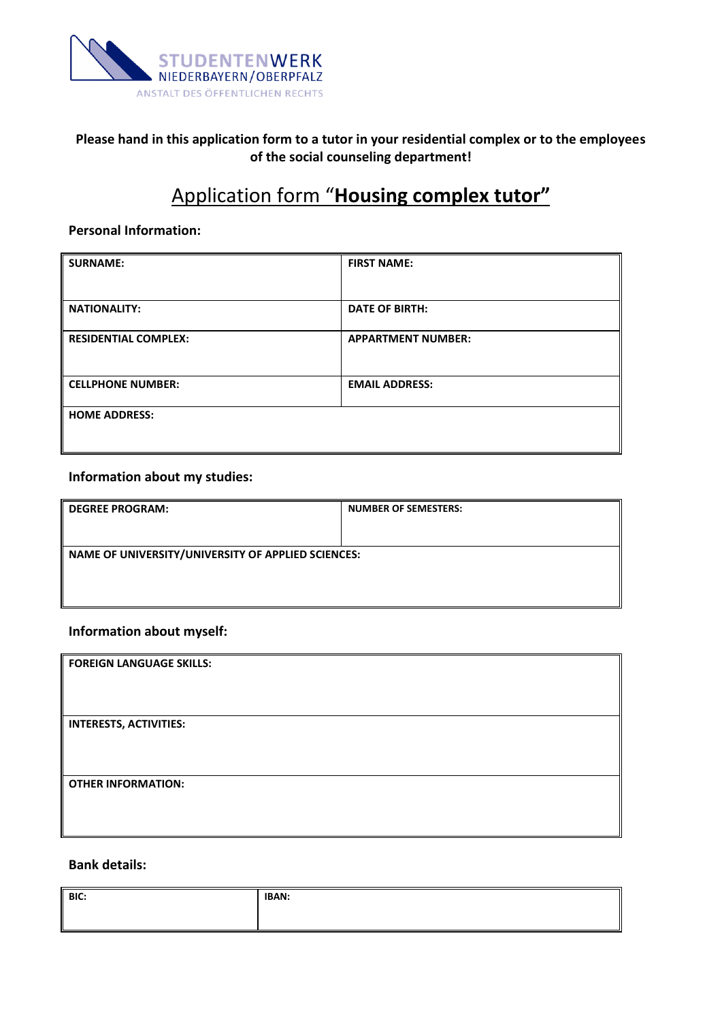

## **Please hand in this application form to a tutor in your residential complex or to the employees of the social counseling department!**

# Application form "**Housing complex tutor"**

#### **Personal Information:**

| <b>SURNAME:</b>             | <b>FIRST NAME:</b>        |
|-----------------------------|---------------------------|
|                             |                           |
| <b>NATIONALITY:</b>         | <b>DATE OF BIRTH:</b>     |
| <b>RESIDENTIAL COMPLEX:</b> | <b>APPARTMENT NUMBER:</b> |
| <b>CELLPHONE NUMBER:</b>    | <b>EMAIL ADDRESS:</b>     |
| <b>HOME ADDRESS:</b>        |                           |

### **Information about my studies:**

| <b>DEGREE PROGRAM:</b>                             | <b>NUMBER OF SEMESTERS:</b> |
|----------------------------------------------------|-----------------------------|
|                                                    |                             |
| NAME OF UNIVERSITY/UNIVERSITY OF APPLIED SCIENCES: |                             |
|                                                    |                             |
|                                                    |                             |

#### **Information about myself:**

| <b>FOREIGN LANGUAGE SKILLS:</b> |  |
|---------------------------------|--|
|                                 |  |
| <b>INTERESTS, ACTIVITIES:</b>   |  |
|                                 |  |
|                                 |  |
| <b>OTHER INFORMATION:</b>       |  |
|                                 |  |
|                                 |  |

### **Bank details:**

| BIC: | <b>IBAN:</b> |
|------|--------------|
|      |              |